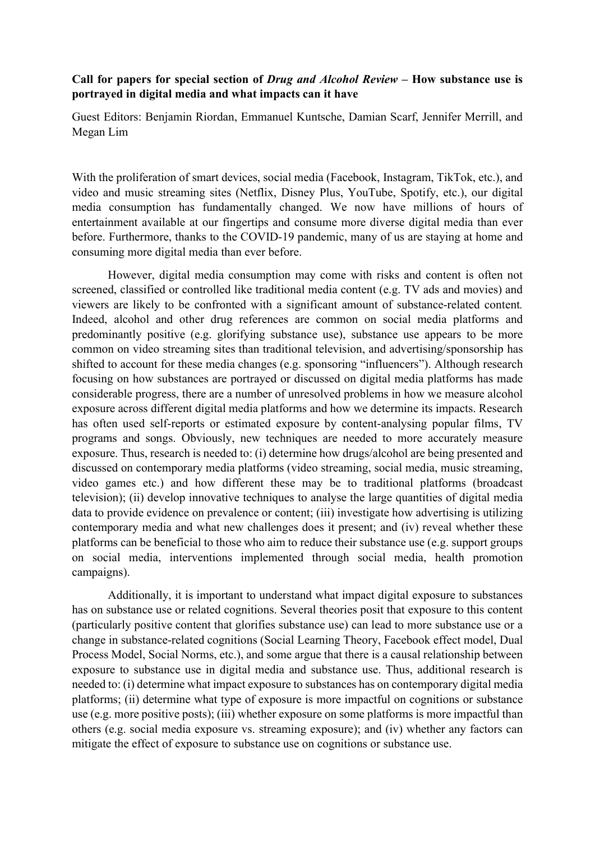## Call for papers for special section of Drug and Alcohol Review – How substance use is portrayed in digital media and what impacts can it have

Guest Editors: Benjamin Riordan, Emmanuel Kuntsche, Damian Scarf, Jennifer Merrill, and Megan Lim

With the proliferation of smart devices, social media (Facebook, Instagram, TikTok, etc.), and video and music streaming sites (Netflix, Disney Plus, YouTube, Spotify, etc.), our digital media consumption has fundamentally changed. We now have millions of hours of entertainment available at our fingertips and consume more diverse digital media than ever before. Furthermore, thanks to the COVID-19 pandemic, many of us are staying at home and consuming more digital media than ever before.

However, digital media consumption may come with risks and content is often not screened, classified or controlled like traditional media content (e.g. TV ads and movies) and viewers are likely to be confronted with a significant amount of substance-related content. Indeed, alcohol and other drug references are common on social media platforms and predominantly positive (e.g. glorifying substance use), substance use appears to be more common on video streaming sites than traditional television, and advertising/sponsorship has shifted to account for these media changes (e.g. sponsoring "influencers"). Although research focusing on how substances are portrayed or discussed on digital media platforms has made considerable progress, there are a number of unresolved problems in how we measure alcohol exposure across different digital media platforms and how we determine its impacts. Research has often used self-reports or estimated exposure by content-analysing popular films, TV programs and songs. Obviously, new techniques are needed to more accurately measure exposure. Thus, research is needed to: (i) determine how drugs/alcohol are being presented and discussed on contemporary media platforms (video streaming, social media, music streaming, video games etc.) and how different these may be to traditional platforms (broadcast television); (ii) develop innovative techniques to analyse the large quantities of digital media data to provide evidence on prevalence or content; (iii) investigate how advertising is utilizing contemporary media and what new challenges does it present; and (iv) reveal whether these platforms can be beneficial to those who aim to reduce their substance use (e.g. support groups on social media, interventions implemented through social media, health promotion campaigns).

Additionally, it is important to understand what impact digital exposure to substances has on substance use or related cognitions. Several theories posit that exposure to this content (particularly positive content that glorifies substance use) can lead to more substance use or a change in substance-related cognitions (Social Learning Theory, Facebook effect model, Dual Process Model, Social Norms, etc.), and some argue that there is a causal relationship between exposure to substance use in digital media and substance use. Thus, additional research is needed to: (i) determine what impact exposure to substances has on contemporary digital media platforms; (ii) determine what type of exposure is more impactful on cognitions or substance use (e.g. more positive posts); (iii) whether exposure on some platforms is more impactful than others (e.g. social media exposure vs. streaming exposure); and (iv) whether any factors can mitigate the effect of exposure to substance use on cognitions or substance use.